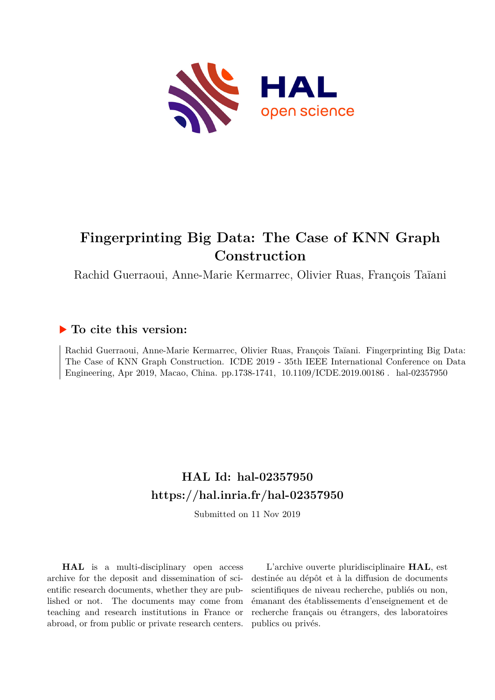

# **Fingerprinting Big Data: The Case of KNN Graph Construction**

Rachid Guerraoui, Anne-Marie Kermarrec, Olivier Ruas, François Taïani

# **To cite this version:**

Rachid Guerraoui, Anne-Marie Kermarrec, Olivier Ruas, François Taïani. Fingerprinting Big Data: The Case of KNN Graph Construction. ICDE 2019 - 35th IEEE International Conference on Data Engineering, Apr 2019, Macao, China. pp.1738-1741, 10.1109/ICDE.2019.00186. hal-02357950

# **HAL Id: hal-02357950 <https://hal.inria.fr/hal-02357950>**

Submitted on 11 Nov 2019

**HAL** is a multi-disciplinary open access archive for the deposit and dissemination of scientific research documents, whether they are published or not. The documents may come from teaching and research institutions in France or abroad, or from public or private research centers.

L'archive ouverte pluridisciplinaire **HAL**, est destinée au dépôt et à la diffusion de documents scientifiques de niveau recherche, publiés ou non, émanant des établissements d'enseignement et de recherche français ou étrangers, des laboratoires publics ou privés.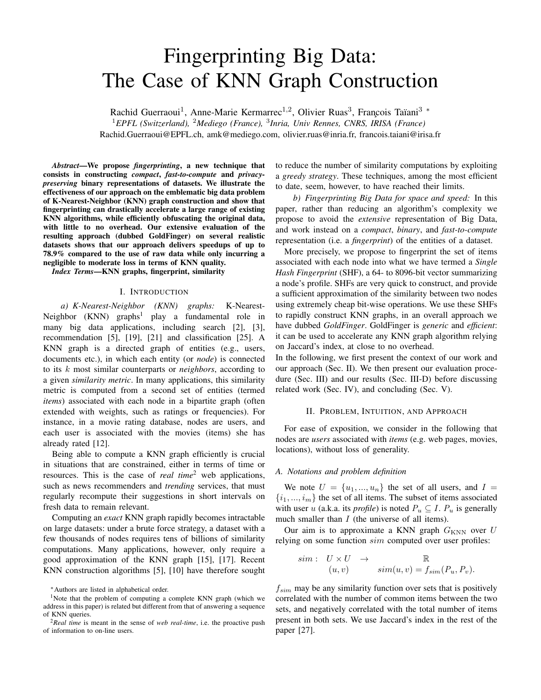# Fingerprinting Big Data: The Case of KNN Graph Construction

Rachid Guerraoui<sup>1</sup>, Anne-Marie Kermarrec<sup>1,2</sup>, Olivier Ruas<sup>3</sup>, François Taïani<sup>3</sup>\* <sup>1</sup>*EPFL (Switzerland),* <sup>2</sup>*Mediego (France),* <sup>3</sup> *Inria, Univ Rennes, CNRS, IRISA (France)* Rachid.Guerraoui@EPFL.ch, amk@mediego.com, olivier.ruas@inria.fr, francois.taiani@irisa.fr

*Abstract*—We propose *fingerprinting*, a new technique that consists in constructing *compact*, *fast-to-compute* and *privacypreserving* binary representations of datasets. We illustrate the effectiveness of our approach on the emblematic big data problem of K-Nearest-Neighbor (KNN) graph construction and show that fingerprinting can drastically accelerate a large range of existing KNN algorithms, while efficiently obfuscating the original data, with little to no overhead. Our extensive evaluation of the resulting approach (dubbed GoldFinger) on several realistic datasets shows that our approach delivers speedups of up to 78.9% compared to the use of raw data while only incurring a negligible to moderate loss in terms of KNN quality.

*Index Terms*—KNN graphs, fingerprint, similarity

## I. INTRODUCTION

*a) K-Nearest-Neighbor (KNN) graphs:* K-Nearest-Neighbor  $(KNN)$  graphs<sup>1</sup> play a fundamental role in many big data applications, including search [2], [3], recommendation [5], [19], [21] and classification [25]. A KNN graph is a directed graph of entities (e.g., users, documents etc.), in which each entity (or *node*) is connected to its k most similar counterparts or *neighbors*, according to a given *similarity metric*. In many applications, this similarity metric is computed from a second set of entities (termed *items*) associated with each node in a bipartite graph (often extended with weights, such as ratings or frequencies). For instance, in a movie rating database, nodes are users, and each user is associated with the movies (items) she has already rated [12].

Being able to compute a KNN graph efficiently is crucial in situations that are constrained, either in terms of time or resources. This is the case of *real time*<sup>2</sup> web applications, such as news recommenders and *trending* services, that must regularly recompute their suggestions in short intervals on fresh data to remain relevant.

Computing an *exact* KNN graph rapidly becomes intractable on large datasets: under a brute force strategy, a dataset with a few thousands of nodes requires tens of billions of similarity computations. Many applications, however, only require a good approximation of the KNN graph [15], [17]. Recent KNN construction algorithms [5], [10] have therefore sought to reduce the number of similarity computations by exploiting a *greedy strategy*. These techniques, among the most efficient to date, seem, however, to have reached their limits.

*b) Fingerprinting Big Data for space and speed:* In this paper, rather than reducing an algorithm's complexity we propose to avoid the *extensive* representation of Big Data, and work instead on a *compact*, *binary*, and *fast-to-compute* representation (i.e. a *fingerprint*) of the entities of a dataset.

More precisely, we propose to fingerprint the set of items associated with each node into what we have termed a *Single Hash Fingerprint* (SHF), a 64- to 8096-bit vector summarizing a node's profile. SHFs are very quick to construct, and provide a sufficient approximation of the similarity between two nodes using extremely cheap bit-wise operations. We use these SHFs to rapidly construct KNN graphs, in an overall approach we have dubbed *GoldFinger*. GoldFinger is *generic* and *efficient*: it can be used to accelerate any KNN graph algorithm relying on Jaccard's index, at close to no overhead.

In the following, we first present the context of our work and our approach (Sec. II). We then present our evaluation procedure (Sec. III) and our results (Sec. III-D) before discussing related work (Sec. IV), and concluding (Sec. V).

#### II. PROBLEM, INTUITION, AND APPROACH

For ease of exposition, we consider in the following that nodes are *users* associated with *items* (e.g. web pages, movies, locations), without loss of generality.

# *A. Notations and problem definition*

We note  $U = \{u_1, ..., u_n\}$  the set of all users, and  $I =$  $\{i_1, ..., i_m\}$  the set of all items. The subset of items associated with user u (a.k.a. its *profile*) is noted  $P_u \subseteq I$ .  $P_u$  is generally much smaller than  $I$  (the universe of all items).

Our aim is to approximate a KNN graph  $G_{KNN}$  over U relying on some function  $sim$  computed over user profiles:

$$
sim: U \times U \rightarrow \mathbb{R}
$$
  

$$
(u, v) \qquad sim(u, v) = f_{sim}(P_u, P_v).
$$

 $f_{sim}$  may be any similarity function over sets that is positively correlated with the number of common items between the two sets, and negatively correlated with the total number of items present in both sets. We use Jaccard's index in the rest of the paper [27].

<sup>∗</sup>Authors are listed in alphabetical order.

<sup>&</sup>lt;sup>1</sup>Note that the problem of computing a complete KNN graph (which we address in this paper) is related but different from that of answering a sequence of KNN queries.

<sup>2</sup>*Real time* is meant in the sense of *web real-time*, i.e. the proactive push of information to on-line users.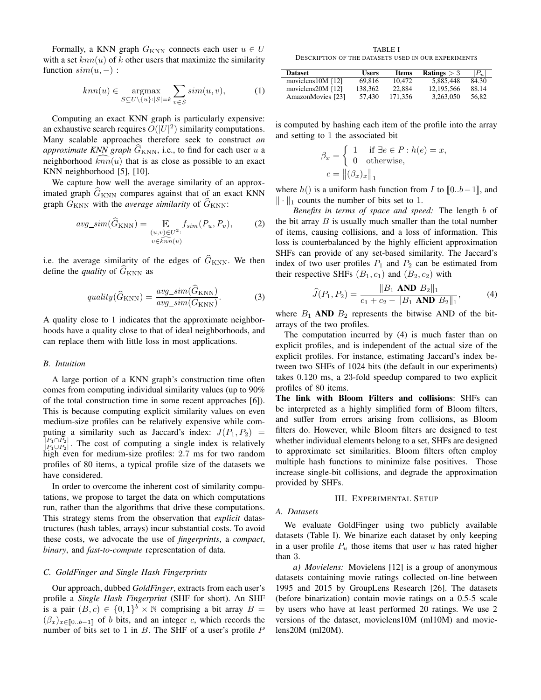Formally, a KNN graph  $G_{KNN}$  connects each user  $u \in U$ with a set  $knn(u)$  of k other users that maximize the similarity function  $sim(u, -)$ :

$$
knn(u) \in \underset{S \subseteq U \setminus \{u\}:|S|=k}{\operatorname{argmax}} \sum_{v \in S} sim(u, v), \tag{1}
$$

Computing an exact KNN graph is particularly expensive: an exhaustive search requires  $O(|U|^2)$  similarity computations. Many scalable approaches therefore seek to construct *an approximate KNN graph*  $\hat{G}_{KNN}$ , i.e., to find for each user u a neighborhood  $knn(u)$  that is as close as possible to an exact KNN neighborhood [5], [10].

We capture how well the average similarity of an approximated graph  $G_{KNN}$  compares against that of an exact KNN graph  $G_{KNN}$  with the *average similarity* of  $\hat{G}_{KNN}$ :

$$
avg\_sim(\widehat{G}_{KNN}) = \mathop{\mathbb{E}}_{\substack{(u,v) \in U^2:\\v \in \widehat{knn}(u)}} f_{sim}(P_u, P_v),
$$
 (2)

i.e. the average similarity of the edges of  $\hat{G}_{KNN}$ . We then define the *quality* of  $\hat{G}_{KNN}$  as

$$
quality(\widehat{G}_{\text{KNN}}) = \frac{avg\_sim(G_{\text{KNN}})}{avg\_sim(G_{\text{KNN}})}.
$$
\n(3)

A quality close to 1 indicates that the approximate neighborhoods have a quality close to that of ideal neighborhoods, and can replace them with little loss in most applications.

### *B. Intuition*

A large portion of a KNN graph's construction time often comes from computing individual similarity values (up to 90% of the total construction time in some recent approaches [6]). This is because computing explicit similarity values on even medium-size profiles can be relatively expensive while computing a similarity such as Jaccard's index:  $J(P_1, P_2)$  =  $|P_1 \cap \overline{P_2}|$  $\frac{|P_1||P_2|}{|P_1\cup P_2|}$ . The cost of computing a single index is relatively high even for medium-size profiles: 2.7 ms for two random profiles of 80 items, a typical profile size of the datasets we have considered.

In order to overcome the inherent cost of similarity computations, we propose to target the data on which computations run, rather than the algorithms that drive these computations. This strategy stems from the observation that *explicit* datastructures (hash tables, arrays) incur substantial costs. To avoid these costs, we advocate the use of *fingerprints*, a *compact*, *binary*, and *fast-to-compute* representation of data.

# *C. GoldFinger and Single Hash Fingerprints*

Our approach, dubbed *GoldFinger*, extracts from each user's profile a *Single Hash Fingerprint* (SHF for short). An SHF is a pair  $(B, c) \in \{0, 1\}^b \times \mathbb{N}$  comprising a bit array  $B =$  $(\beta_x)_{x\in[0..b-1]}$  of b bits, and an integer c, which records the number of bits set to 1 in  $B$ . The SHF of a user's profile  $P$ 

TABLE I DESCRIPTION OF THE DATASETS USED IN OUR EXPERIMENTS

| <b>Dataset</b>       | <b>Users</b> | <b>Items</b> | Ratings $>$ 3 | $ P_u $ |
|----------------------|--------------|--------------|---------------|---------|
| movielens $10M$ [12] | 69.816       | 10.472       | 5.885.448     | 84.30   |
| movielens20M [12]    | 138.362      | 22,884       | 12.195.566    | 88.14   |
| AmazonMovies [23]    | 57.430       | 171.356      | 3.263.050     | 56.82   |

is computed by hashing each item of the profile into the array and setting to 1 the associated bit

$$
\beta_x = \begin{cases} 1 & \text{if } \exists e \in P : h(e) = x, \\ 0 & \text{otherwise,} \end{cases}
$$

$$
c = ||(\beta_x)_x||_1
$$

where  $h()$  is a uniform hash function from I to  $[0..b-1]$ , and  $\|\cdot\|_1$  counts the number of bits set to 1.

*Benefits in terms of space and speed:* The length b of the bit array  $B$  is usually much smaller than the total number of items, causing collisions, and a loss of information. This loss is counterbalanced by the highly efficient approximation SHFs can provide of any set-based similarity. The Jaccard's index of two user profiles  $P_1$  and  $P_2$  can be estimated from their respective SHFs  $(B_1, c_1)$  and  $(B_2, c_2)$  with

$$
\widehat{J}(P_1, P_2) = \frac{\|B_1 \text{ AND } B_2\|_1}{c_1 + c_2 - \|B_1 \text{ AND } B_2\|_1},\tag{4}
$$

where  $B_1$  AND  $B_2$  represents the bitwise AND of the bitarrays of the two profiles.

The computation incurred by (4) is much faster than on explicit profiles, and is independent of the actual size of the explicit profiles. For instance, estimating Jaccard's index between two SHFs of 1024 bits (the default in our experiments) takes 0.120 ms, a 23-fold speedup compared to two explicit profiles of 80 items.

The link with Bloom Filters and collisions: SHFs can be interpreted as a highly simplified form of Bloom filters, and suffer from errors arising from collisions, as Bloom filters do. However, while Bloom filters are designed to test whether individual elements belong to a set, SHFs are designed to approximate set similarities. Bloom filters often employ multiple hash functions to minimize false positives. Those increase single-bit collisions, and degrade the approximation provided by SHFs.

#### III. EXPERIMENTAL SETUP

# *A. Datasets*

We evaluate GoldFinger using two publicly available datasets (Table I). We binarize each dataset by only keeping in a user profile  $P_u$  those items that user u has rated higher than 3.

*a) Movielens:* Movielens [12] is a group of anonymous datasets containing movie ratings collected on-line between 1995 and 2015 by GroupLens Research [26]. The datasets (before binarization) contain movie ratings on a 0.5-5 scale by users who have at least performed 20 ratings. We use 2 versions of the dataset, movielens10M (ml10M) and movielens20M (ml20M).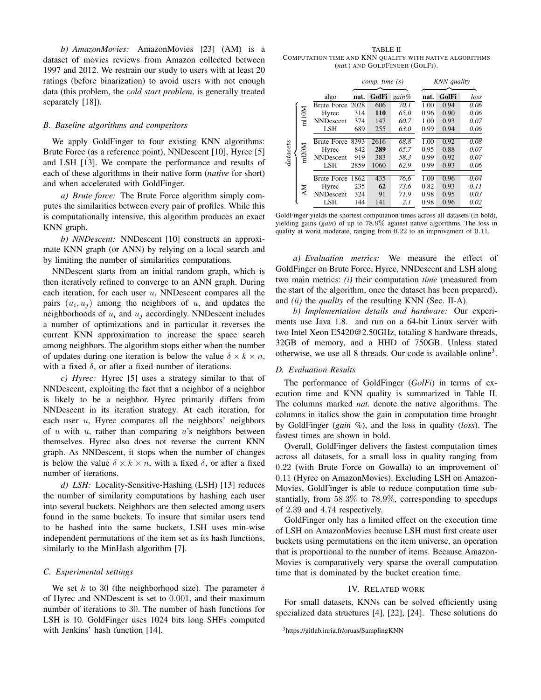*b) AmazonMovies:* AmazonMovies [23] (AM) is a dataset of movies reviews from Amazon collected between 1997 and 2012. We restrain our study to users with at least 20 ratings (before binarization) to avoid users with not enough data (this problem, the *cold start problem*, is generally treated separately [18]).

# *B. Baseline algorithms and competitors*

We apply GoldFinger to four existing KNN algorithms: Brute Force (as a reference point), NNDescent [10], Hyrec [5] and LSH [13]. We compare the performance and results of each of these algorithms in their native form (*native* for short) and when accelerated with GoldFinger.

*a) Brute force:* The Brute Force algorithm simply computes the similarities between every pair of profiles. While this is computationally intensive, this algorithm produces an exact KNN graph.

*b) NNDescent:* NNDescent [10] constructs an approximate KNN graph (or ANN) by relying on a local search and by limiting the number of similarities computations.

NNDescent starts from an initial random graph, which is then iteratively refined to converge to an ANN graph. During each iteration, for each user  $u$ , NNDescent compares all the pairs  $(u_i, u_j)$  among the neighbors of u, and updates the neighborhoods of  $u_i$  and  $u_j$  accordingly. NNDescent includes a number of optimizations and in particular it reverses the current KNN approximation to increase the space search among neighbors. The algorithm stops either when the number of updates during one iteration is below the value  $\delta \times k \times n$ , with a fixed  $\delta$ , or after a fixed number of iterations.

*c) Hyrec:* Hyrec [5] uses a strategy similar to that of NNDescent, exploiting the fact that a neighbor of a neighbor is likely to be a neighbor. Hyrec primarily differs from NNDescent in its iteration strategy. At each iteration, for each user u, Hyrec compares all the neighbors' neighbors of u with  $u$ , rather than comparing  $u$ 's neighbors between themselves. Hyrec also does not reverse the current KNN graph. As NNDescent, it stops when the number of changes is below the value  $\delta \times k \times n$ , with a fixed  $\delta$ , or after a fixed number of iterations.

*d) LSH:* Locality-Sensitive-Hashing (LSH) [13] reduces the number of similarity computations by hashing each user into several buckets. Neighbors are then selected among users found in the same buckets. To insure that similar users tend to be hashed into the same buckets, LSH uses min-wise independent permutations of the item set as its hash functions, similarly to the MinHash algorithm [7].

#### *C. Experimental settings*

We set k to 30 (the neighborhood size). The parameter  $\delta$ of Hyrec and NNDescent is set to 0.001, and their maximum number of iterations to 30. The number of hash functions for LSH is 10. GoldFinger uses 1024 bits long SHFs computed with Jenkins' hash function [14].

TABLE II COMPUTATION TIME AND KNN QUALITY WITH NATIVE ALGORITHMS (*nat.*) AND GOLDFINGER (GOLFI).

|          |       |                    | comp. time $(s)$ |       | <b>KNN</b> quality |                   |       |         |
|----------|-------|--------------------|------------------|-------|--------------------|-------------------|-------|---------|
|          |       | algo               | nat.             | GolFi | gain%              | nat.              | GolFi | loss    |
| datasets | m110M | <b>Brute Force</b> | 2028             | 606   | 70.1               | 1.00              | 0.94  | 0.06    |
|          |       | Hyrec              | 314              | 110   | 65.0               | 0.96              | 0.90  | 0.06    |
|          |       | NNDescent          | 374              | 147   | 60.7               | 1.00              | 0.93  | 0.07    |
|          |       | LSH                | 689              | 255   | 63.0               | 0.99              | 0.94  | 0.06    |
|          |       |                    |                  |       |                    |                   |       |         |
|          | m20M  | <b>Brute Force</b> | 8393             | 2616  | 68.8               | 1.00              | 0.92  | 0.08    |
|          |       | Hyrec              | 842              | 289   | 65.7               | 0.95              | 0.88  | 0.07    |
|          |       | <b>NNDescent</b>   | 919              | 383   | 58.3               | 0.99              | 0.92  | 0.07    |
|          |       | LSH                | 2859             | 1060  | 62.9               | 0.99              | 0.93  | 0.06    |
|          |       |                    |                  |       |                    |                   |       |         |
|          | ÅМ    | <b>Brute Force</b> | 1862             | 435   | 76.6               | $\overline{1.00}$ | 0.96  | 0.04    |
|          |       | Hyrec              | 235              | 62    | 73.6               | 0.82              | 0.93  | $-0.11$ |
|          |       | <b>NNDescent</b>   | 324              | 91    | 71.9               | 0.98              | 0.95  | 0.03    |
|          |       | LSH                | 144              | 141   | 2.1                | 0.98              | 0.96  | 0.02    |

GoldFinger yields the shortest computation times across all datasets (in bold), yielding gains (*gain*) of up to 78.9% against native algorithms. The loss in quality at worst moderate, ranging from 0.22 to an improvement of 0.11.

*a) Evaluation metrics:* We measure the effect of GoldFinger on Brute Force, Hyrec, NNDescent and LSH along two main metrics: *(i)* their computation *time* (measured from the start of the algorithm, once the dataset has been prepared), and *(ii)* the *quality* of the resulting KNN (Sec. II-A).

*b) Implementation details and hardware:* Our experiments use Java 1.8. and run on a 64-bit Linux server with two Intel Xeon E5420@2.50GHz, totaling 8 hardware threads, 32GB of memory, and a HHD of 750GB. Unless stated otherwise, we use all 8 threads. Our code is available online<sup>3</sup>.

# *D. Evaluation Results*

The performance of GoldFinger (*GolFi*) in terms of execution time and KNN quality is summarized in Table II. The columns marked *nat.* denote the native algorithms. The columns in italics show the gain in computation time brought by GoldFinger (*gain %*), and the loss in quality (*loss*). The fastest times are shown in bold.

Overall, GoldFinger delivers the fastest computation times across all datasets, for a small loss in quality ranging from 0.22 (with Brute Force on Gowalla) to an improvement of 0.11 (Hyrec on AmazonMovies). Excluding LSH on Amazon-Movies, GoldFinger is able to reduce computation time substantially, from 58.3% to 78.9%, corresponding to speedups of 2.39 and 4.74 respectively.

GoldFinger only has a limited effect on the execution time of LSH on AmazonMovies because LSH must first create user buckets using permutations on the item universe, an operation that is proportional to the number of items. Because Amazon-Movies is comparatively very sparse the overall computation time that is dominated by the bucket creation time.

# IV. RELATED WORK

For small datasets, KNNs can be solved efficiently using specialized data structures [4], [22], [24]. These solutions do

<sup>3</sup>https://gitlab.inria.fr/oruas/SamplingKNN